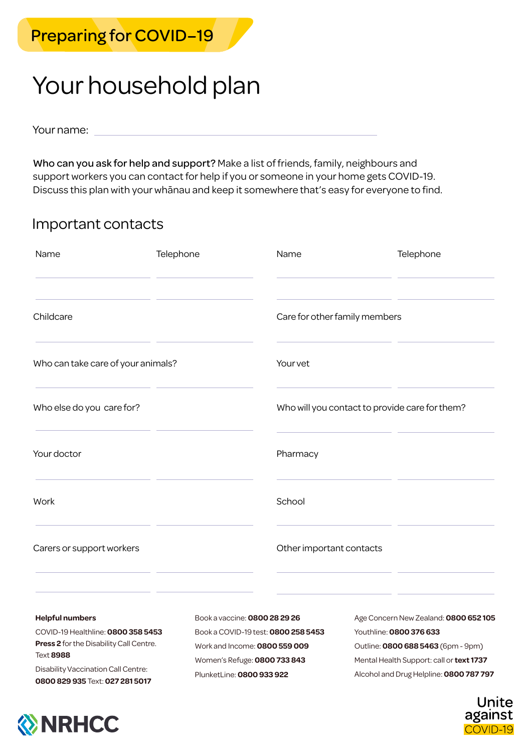

## Your household plan

Your name:

 $\overline{a}$  if help for contact can you workers support and neighbours support and neighbours support and neighbours support and neighbours support and neighbours  $\overline{a}$ or neip and support? Make a list of easy someon it is keep and what someon what someon what we have a someon iti i yuur wifariau al Who can you ask for help and support? Make a list of friends, family, neighbours and who can you ask for help and support a nake a list of monds, raning, holghbours and<br>support workers you can contact for help if you or someone in your home gets COVID-19. experimentatively in summer to every to exercise the somewhere that's easy for everyone to find.<br>Discuss this plan with your whānau and keep it somewhere that's easy for everyone to find.

## Important contacts

| Name                               | Telephone | Name                                           | Telephone |
|------------------------------------|-----------|------------------------------------------------|-----------|
| Childcare                          |           | Care for other family members                  |           |
| Who can take care of your animals? |           | Yourvet                                        |           |
| Who else do you care for?          |           | Who will you contact to provide care for them? |           |
| Your doctor                        |           | Pharmacy                                       |           |
| Work                               |           | School                                         |           |
| Carers or support workers          |           | Other important contacts                       |           |
|                                    |           |                                                |           |

## **Helpful numbers**

**COVID-19 Healthline: 0800 358 5453 Press 2** for the Disability Call Centre. **8988** Text Disability Vaccination Call Centre: **0800 829 935 Text: 027 281 5017** 

**EXAMPLE** 

Book a vaccine: **0800 28 29 26** Book a COVID-19 test: 0800 258 5453 **Press 2** for the Disability Call Centre. Work and Income: **0800 559 009**<br>Tas**t 2000** Women's Refuge: 0800 733 843 PlunketLine: **0800 933 922** 

Age Concern New Zealand: 0800 652 105 Youthline: **0800 376 633** Outline: 0800 688 5463 (6pm - 9pm) Mental Health Support: call or **text 1737** Alcohol and Drug Helpline: 0800 787 797